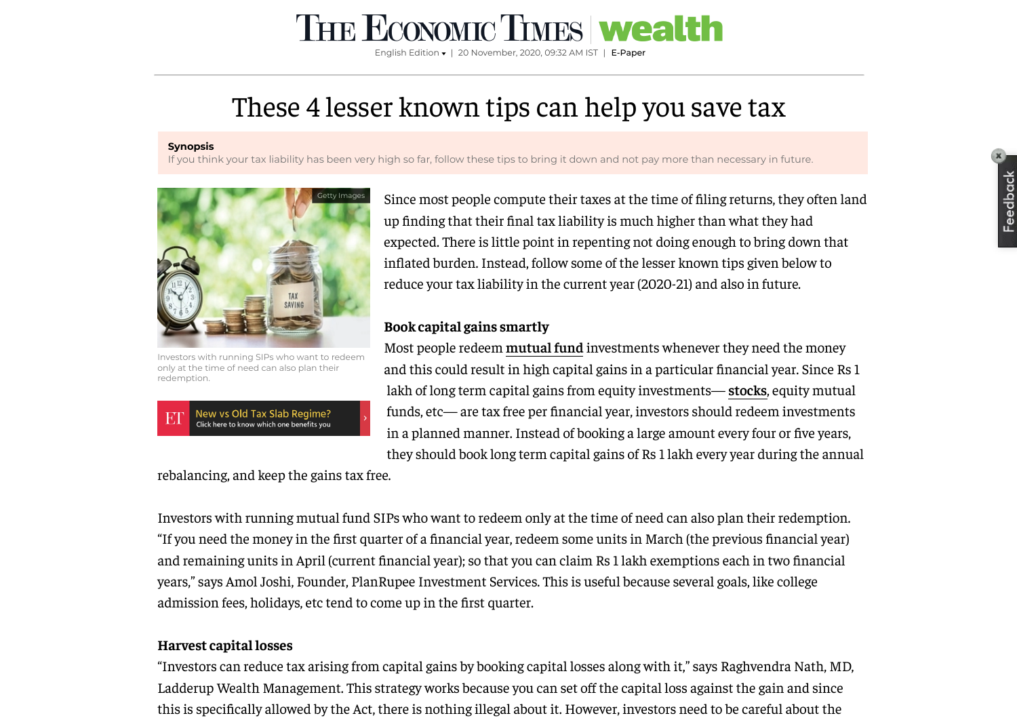# These 4 lesser known tips can help you save tax

#### **Synopsis**

If you think your tax liability has been very high so far, follow these tips to bring it down and not pay more than necessary in future.



Investors with running SIPs who want to redeem only at the time of need can also plan their redemption.



Since most people compute their taxes at the time of filing returns, they often land up finding that their final tax liability is much higher than what they had expected. There is little point in repenting not doing enough to bring down that inflated burden. Instead, follow some of the lesser known tips given below to reduce your tax liability in the current year (2020-21) and also in future.

### **Book capital gains smartly**

Most people redeem **[mutual](https://economictimes.indiatimes.com/mutual-funds) fund** investments whenever they need the money and this could result in high capital gains in a particular financial year. Since Rs 1 lakh of long term capital gains from equity investments— **[stocks](https://economictimes.indiatimes.com/topic/stocks)**, equity mutual funds, etc— are tax free per financial year, investors should redeem investments in a planned manner. Instead of booking a large amount every four or five years, they should book long term capital gains of Rs 1 lakh every year during the annual

rebalancing, and keep the gains tax free.

Investors with running mutual fund SIPs who want to redeem only at the time of need can also plan their redemption. "If you need the money in the first quarter of a financial year, redeem some units in March (the previous financial year) and remaining units in April (current financial year); so that you can claim Rs 1 lakh exemptions each in two financial years," says Amol Joshi, Founder, PlanRupee Investment Services. This is useful because several goals, like college admission fees, holidays, etc tend to come up in the first quarter.

### **Harvest capital losses**

"Investors can reduce tax arising from capital gains by booking capital losses along with it," says Raghvendra Nath, MD, Ladderup Wealth Management. This strategy works because you can set off the capital loss against the gain and since this is specifically allowed by the Act, there is nothing illegal about it. However, investors need to be careful about the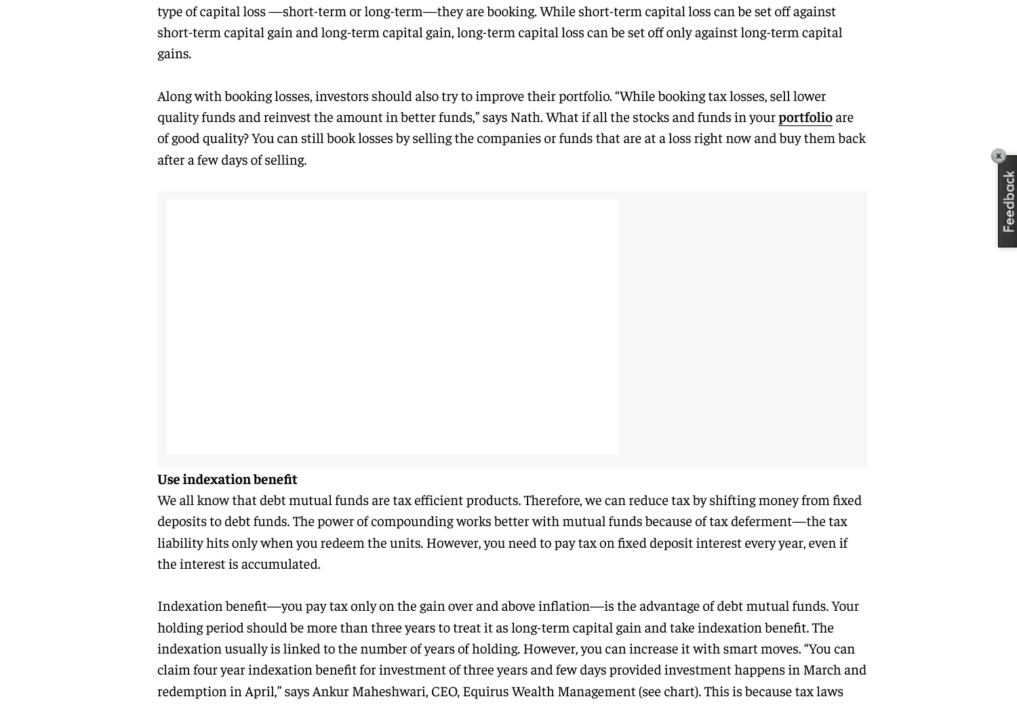type of capital loss —short-term or long-term—they are booking. While short-term capital loss can be set off against short-term capital gain and long-term capital gain, long-term capital loss can be set off only against long-term capital gains.

Along with booking losses, investors should also try to improve their portfolio. "While booking tax losses, sell lower quality funds and reinvest the amount in better funds," says Nath. What if all the stocks and funds in your **[portfolio](https://economictimes.indiatimes.com/topic/portfolio)** are of good quality? You can still book losses by selling the companies or funds that are at a loss right now and buy them back after a few days of selling.

#### **Use** indexation benefit

We all know that debt mutual funds are tax efficient products. Therefore, we can reduce tax by shifting money from fixed deposits to debt funds. The power of compounding works better with mutual funds because of tax deferment—the tax liability hits only when you redeem the units. However, you need to pay tax on fixed deposit interest every year, even if the interest is accumulated.

Indexation benefit—you pay tax only on the gain over and above inflation—is the advantage of debt mutual funds. Your holding period should be more than three years to treat it as long-term capital gain and take indexation benefit. The indexation usually is linked to the number of years of holding. However, you can increase it with smart moves. "You can claim four year indexation benefit for investment of three years and few days provided investment happens in March and redemption in April," says Ankur Maheshwari, CEO, Equirus Wealth Management (see chart). This is because tax laws